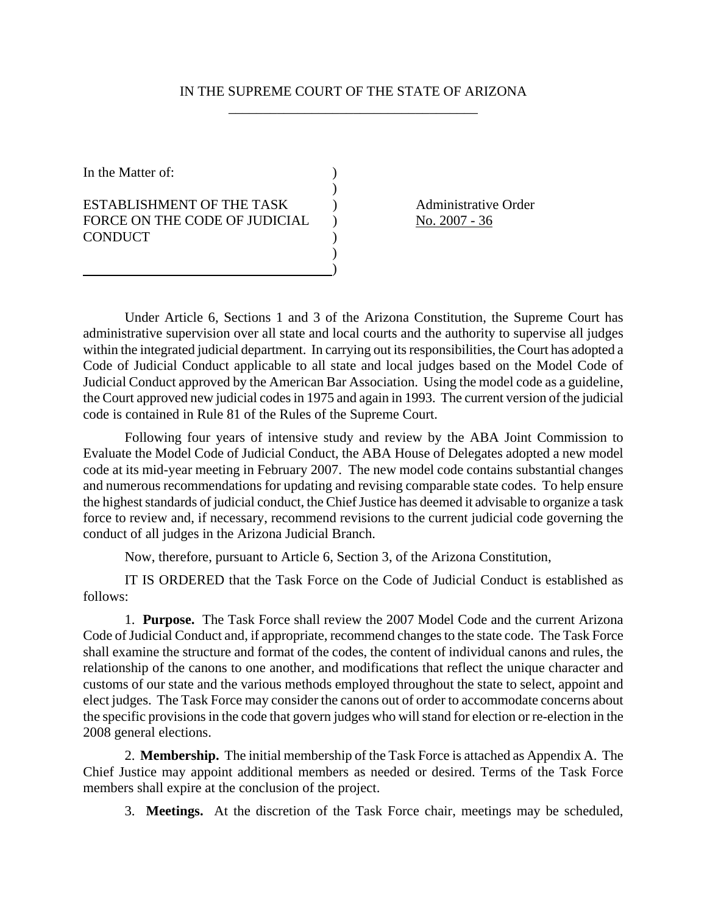## IN THE SUPREME COURT OF THE STATE OF ARIZONA \_\_\_\_\_\_\_\_\_\_\_\_\_\_\_\_\_\_\_\_\_\_\_\_\_\_\_\_\_\_\_\_\_\_\_\_

In the Matter of:  $\qquad \qquad$  )  $)$ ESTABLISHMENT OF THE TASK (a) Administrative Order FORCE ON THE CODE OF JUDICIAL ) No. 2007 - 36 CONDUCT )  $)$ 

 $\qquad \qquad \qquad$ 

Under Article 6, Sections 1 and 3 of the Arizona Constitution, the Supreme Court has administrative supervision over all state and local courts and the authority to supervise all judges within the integrated judicial department. In carrying out its responsibilities, the Court has adopted a Code of Judicial Conduct applicable to all state and local judges based on the Model Code of Judicial Conduct approved by the American Bar Association. Using the model code as a guideline, the Court approved new judicial codes in 1975 and again in 1993. The current version of the judicial code is contained in Rule 81 of the Rules of the Supreme Court.

Following four years of intensive study and review by the ABA Joint Commission to Evaluate the Model Code of Judicial Conduct, the ABA House of Delegates adopted a new model code at its mid-year meeting in February 2007. The new model code contains substantial changes and numerous recommendations for updating and revising comparable state codes. To help ensure the highest standards of judicial conduct, the Chief Justice has deemed it advisable to organize a task force to review and, if necessary, recommend revisions to the current judicial code governing the conduct of all judges in the Arizona Judicial Branch.

Now, therefore, pursuant to Article 6, Section 3, of the Arizona Constitution,

IT IS ORDERED that the Task Force on the Code of Judicial Conduct is established as follows:

1. **Purpose.** The Task Force shall review the 2007 Model Code and the current Arizona Code of Judicial Conduct and, if appropriate, recommend changes to the state code. The Task Force shall examine the structure and format of the codes, the content of individual canons and rules, the relationship of the canons to one another, and modifications that reflect the unique character and customs of our state and the various methods employed throughout the state to select, appoint and elect judges. The Task Force may consider the canons out of order to accommodate concerns about the specific provisions in the code that govern judges who will stand for election or re-election in the 2008 general elections.

2. **Membership.** The initial membership of the Task Force is attached as Appendix A. The Chief Justice may appoint additional members as needed or desired. Terms of the Task Force members shall expire at the conclusion of the project.

3. **Meetings.** At the discretion of the Task Force chair, meetings may be scheduled,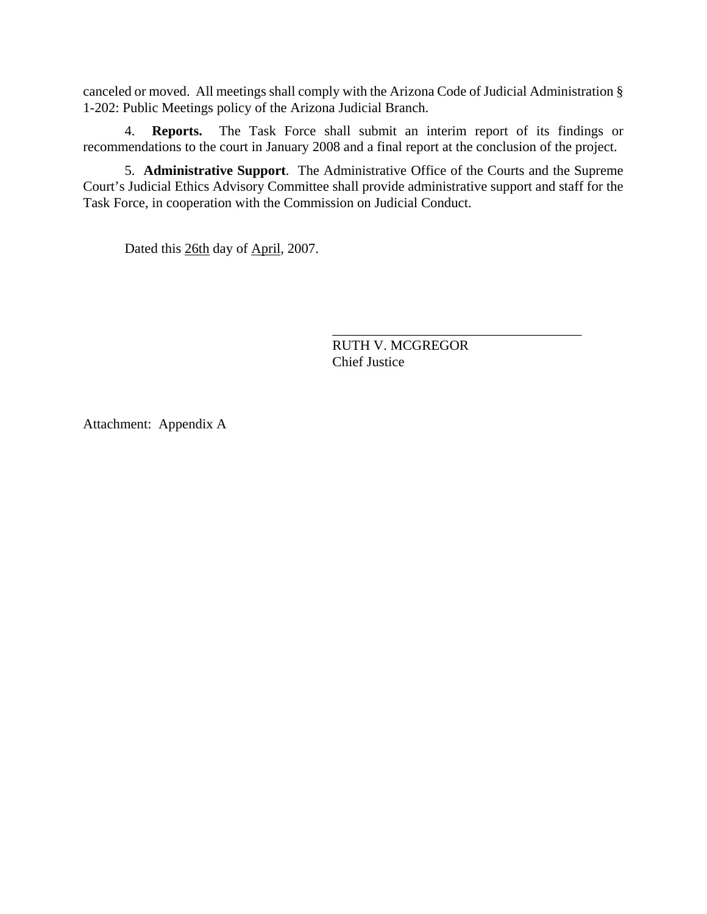canceled or moved. All meetings shall comply with the Arizona Code of Judicial Administration § 1-202: Public Meetings policy of the Arizona Judicial Branch.

4. **Reports.** The Task Force shall submit an interim report of its findings or recommendations to the court in January 2008 and a final report at the conclusion of the project.

5. **Administrative Support**. The Administrative Office of the Courts and the Supreme Court's Judicial Ethics Advisory Committee shall provide administrative support and staff for the Task Force, in cooperation with the Commission on Judicial Conduct.

Dated this 26th day of April, 2007.

RUTH V. MCGREGOR Chief Justice

\_\_\_\_\_\_\_\_\_\_\_\_\_\_\_\_\_\_\_\_\_\_\_\_\_\_\_\_\_\_\_\_\_\_\_\_

Attachment: Appendix A